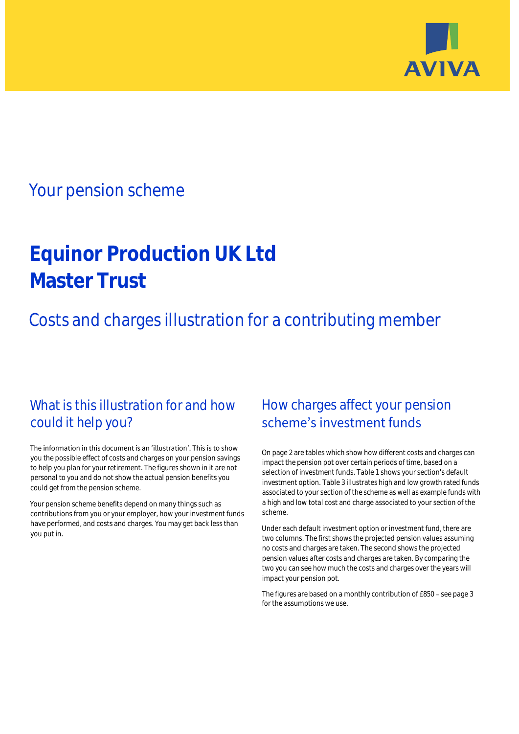

## Your pension scheme

# **Equinor Production UK Ltd Master Trust**

Costs and charges illustration for a contributing member

## What is this illustration for and how could it help you?

#### The information in this document is an 'illustration'. This is to show you the possible effect of costs and charges on your pension savings to help you plan for your retirement. The figures shown in it are not personal to you and do not show the actual pension benefits you could get from the pension scheme.

Your pension scheme benefits depend on many things such as contributions from you or your employer, how your investment funds have performed, and costs and charges. You may get back less than you put in.

## How charges affect your pension scheme's investment funds

On page 2 are tables which show how different costs and charges can impact the pension pot over certain periods of time, based on a selection of investment funds. Table 1 shows your section's default investment option. Table 3 illustrates high and low growth rated funds associated to your section of the scheme as well as example funds with a high and low total cost and charge associated to your section of the scheme.

Under each default investment option or investment fund, there are two columns. The first shows the projected pension values assuming no costs and charges are taken. The second shows the projected pension values after costs and charges are taken. By comparing the two you can see how much the costs and charges over the years will impact your pension pot.

The figures are based on a monthly contribution of £850 - see page 3 for the assumptions we use.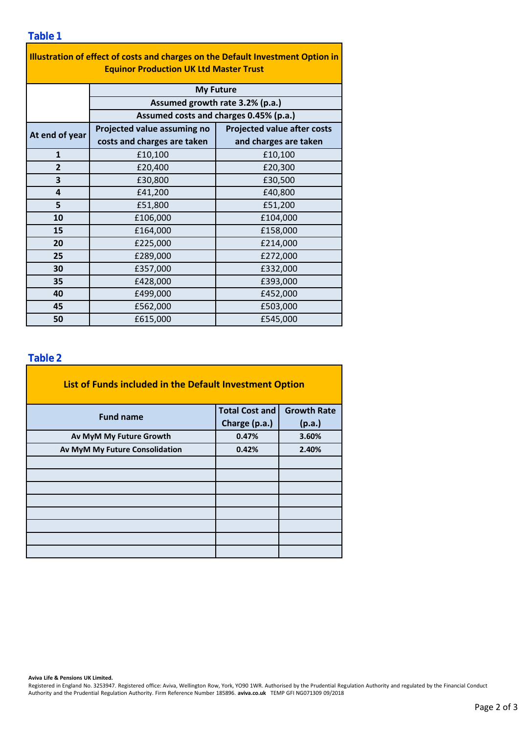| Illustration of effect of costs and charges on the Default Investment Option in<br><b>Equinor Production UK Ltd Master Trust</b> |                                                                                               |                                    |  |  |  |  |  |  |
|----------------------------------------------------------------------------------------------------------------------------------|-----------------------------------------------------------------------------------------------|------------------------------------|--|--|--|--|--|--|
|                                                                                                                                  | <b>My Future</b><br>Assumed growth rate 3.2% (p.a.)<br>Assumed costs and charges 0.45% (p.a.) |                                    |  |  |  |  |  |  |
|                                                                                                                                  |                                                                                               |                                    |  |  |  |  |  |  |
|                                                                                                                                  |                                                                                               |                                    |  |  |  |  |  |  |
| At end of year                                                                                                                   | Projected value assuming no                                                                   | <b>Projected value after costs</b> |  |  |  |  |  |  |
|                                                                                                                                  | costs and charges are taken                                                                   | and charges are taken              |  |  |  |  |  |  |
| $\mathbf{1}$                                                                                                                     | £10,100                                                                                       | £10,100                            |  |  |  |  |  |  |
| $\overline{2}$                                                                                                                   | £20,400                                                                                       | £20,300                            |  |  |  |  |  |  |
| 3                                                                                                                                | £30,800                                                                                       | £30,500                            |  |  |  |  |  |  |
| 4                                                                                                                                | £41,200                                                                                       | £40,800                            |  |  |  |  |  |  |
| 5                                                                                                                                | £51,800                                                                                       | £51,200                            |  |  |  |  |  |  |
| 10                                                                                                                               | £106,000                                                                                      | £104,000                           |  |  |  |  |  |  |
| 15                                                                                                                               | £164,000                                                                                      | £158,000                           |  |  |  |  |  |  |
| 20                                                                                                                               | £225,000                                                                                      | £214,000                           |  |  |  |  |  |  |
| 25                                                                                                                               | £289,000                                                                                      | £272,000                           |  |  |  |  |  |  |
| 30                                                                                                                               | £357,000                                                                                      | £332,000                           |  |  |  |  |  |  |
| 35                                                                                                                               | £428,000                                                                                      | £393,000                           |  |  |  |  |  |  |
| 40                                                                                                                               | £499,000                                                                                      | £452,000                           |  |  |  |  |  |  |
| 45                                                                                                                               | £562,000                                                                                      | £503,000                           |  |  |  |  |  |  |
| 50                                                                                                                               | £615,000                                                                                      | £545,000                           |  |  |  |  |  |  |

÷,

#### **Table 2**

| List of Funds included in the Default Investment Option |                                                                                                            |  |
|---------------------------------------------------------|------------------------------------------------------------------------------------------------------------|--|
| <b>Fund name</b>                                        | <b>Total Cost and</b><br><b>Growth Rate</b><br>Charge (p.a.)<br>(p.a.)<br>0.47%<br>3.60%<br>0.42%<br>2.40% |  |
|                                                         |                                                                                                            |  |
| Av MyM My Future Growth                                 |                                                                                                            |  |
| Av MyM My Future Consolidation                          |                                                                                                            |  |
|                                                         |                                                                                                            |  |
|                                                         |                                                                                                            |  |
|                                                         |                                                                                                            |  |
|                                                         |                                                                                                            |  |
|                                                         |                                                                                                            |  |
|                                                         |                                                                                                            |  |
|                                                         |                                                                                                            |  |
|                                                         |                                                                                                            |  |

**Aviva Life & Pensions UK Limited.**

Registered in England No. 3253947. Registered office: Aviva, Wellington Row, York, YO90 1WR. Authorised by the Prudential Regulation Authority and regulated by the Financial Conduct Authority and the Prudential Regulation Authority. Firm Reference Number 185896. **aviva.co.uk** TEMP GFI NG071309 09/2018